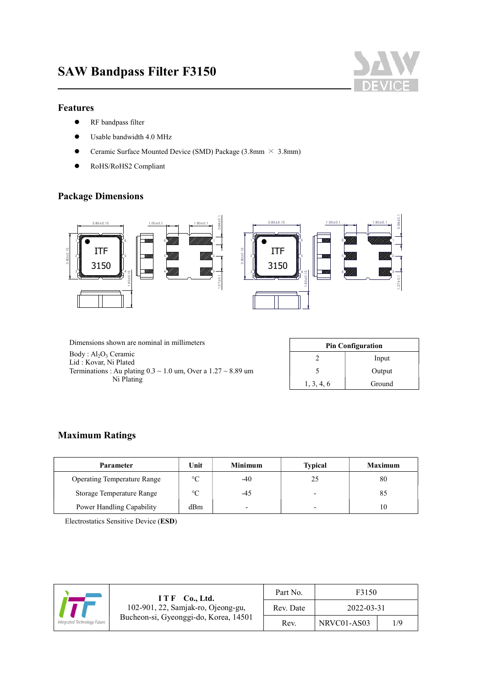

#### Features

 $\overline{a}$ 

- **•** RF bandpass filter
- Usable bandwidth 4.0 MHz
- **•** Ceramic Surface Mounted Device (SMD) Package (3.8mm  $\times$  3.8mm)
- RoHS/RoHS2 Compliant

# Package Dimensions



Dimensions shown are nominal in millimeters

Body: Al<sub>2</sub>O<sub>3</sub> Ceramic Lid : Kovar, Ni Plated Terminations : Au plating  $0.3 \sim 1.0$  um, Over a  $1.27 \sim 8.89$  um Ni Plating

| <b>Pin Configuration</b> |        |  |  |
|--------------------------|--------|--|--|
|                          | Input  |  |  |
|                          | Output |  |  |
| 1, 3, 4, 6               | Ground |  |  |

#### Maximum Ratings

| <b>Parameter</b>                   | Unit    | <b>Minimum</b> | <b>Typical</b>           | <b>Maximum</b> |
|------------------------------------|---------|----------------|--------------------------|----------------|
| <b>Operating Temperature Range</b> | $\circ$ | $-40$          |                          | 80             |
| Storage Temperature Range          | $\circ$ | -45            | $\overline{\phantom{0}}$ | 85             |
| Power Handling Capability          | dBm     |                | -                        | 10             |

Electrostatics Sensitive Device (ESD)

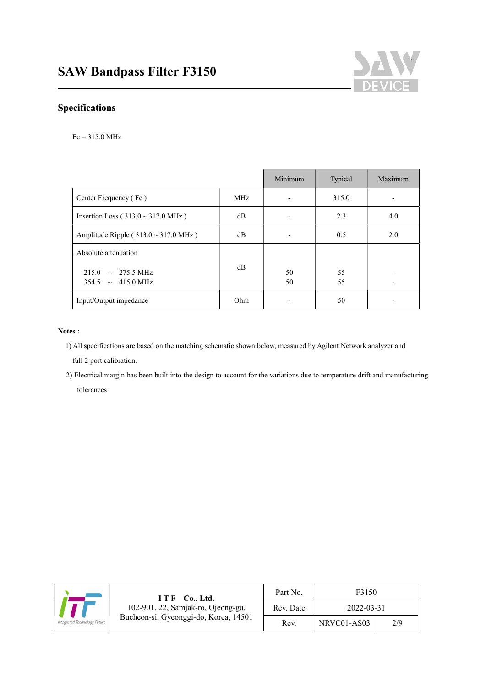

# Specifications

 $\overline{a}$ 

#### Fc = 315.0 MHz

|                                                                  |                 | Minimum  | Typical  | Maximum |
|------------------------------------------------------------------|-----------------|----------|----------|---------|
| Center Frequency (Fc)                                            | MH <sub>z</sub> |          | 315.0    |         |
| Insertion Loss ( $313.0 \sim 317.0$ MHz)                         | $\rm dB$        |          | 2.3      | 4.0     |
| Amplitude Ripple ( $313.0 \sim 317.0$ MHz)                       | $\rm dB$        |          | 0.5      | 2.0     |
| Absolute attenuation                                             |                 |          |          |         |
| $215.0 \sim 275.5 \text{ MHz}$<br>$354.5 \sim 415.0 \text{ MHz}$ | $\rm dB$        | 50<br>50 | 55<br>55 |         |
| Input/Output impedance                                           | Ohm             |          | 50       |         |

#### Notes :

1) All specifications are based on the matching schematic shown below, measured by Agilent Network analyzer and

full 2 port calibration.

2) Electrical margin has been built into the design to account for the variations due to temperature drift and manufacturing tolerances

| ITF<br>Co., Ltd.<br>102-901, 22, Samjak-ro, Ojeong-gu,<br>Bucheon-si, Gyeonggi-do, Korea, 14501<br>Integrated Technology Future | Part No.  | F3150       |     |
|---------------------------------------------------------------------------------------------------------------------------------|-----------|-------------|-----|
|                                                                                                                                 | Rev. Date | 2022-03-31  |     |
|                                                                                                                                 | Rev.      | NRVC01-AS03 | 2/9 |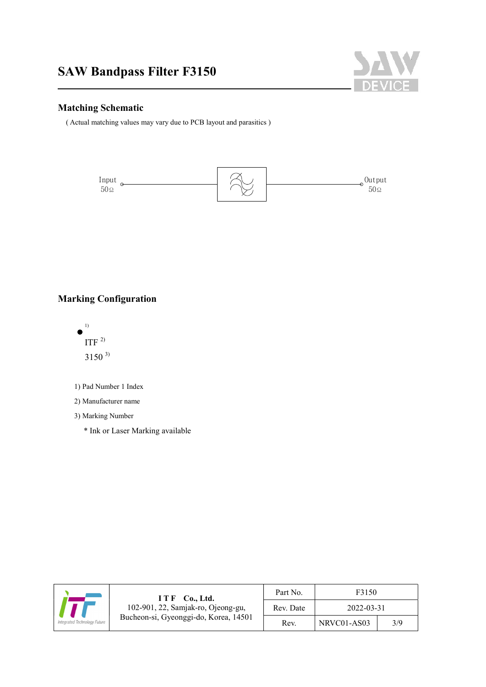

#### Matching Schematic

 $\overline{a}$ 

( Actual matching values may vary due to PCB layout and parasitics )



# Marking Configuration



1) Pad Number 1 Index

2) Manufacturer name

3) Marking Number

\* Ink or Laser Marking available

|                                                                                                             | I T F<br>Co., Ltd. | Part No.    | F3150 |  |
|-------------------------------------------------------------------------------------------------------------|--------------------|-------------|-------|--|
| 102-901, 22, Samjak-ro, Ojeong-gu,<br>Bucheon-si, Gyeonggi-do, Korea, 14501<br>Integrated Technology Future | Rev. Date          | 2022-03-31  |       |  |
|                                                                                                             | Rev.               | NRVC01-AS03 | 3/9   |  |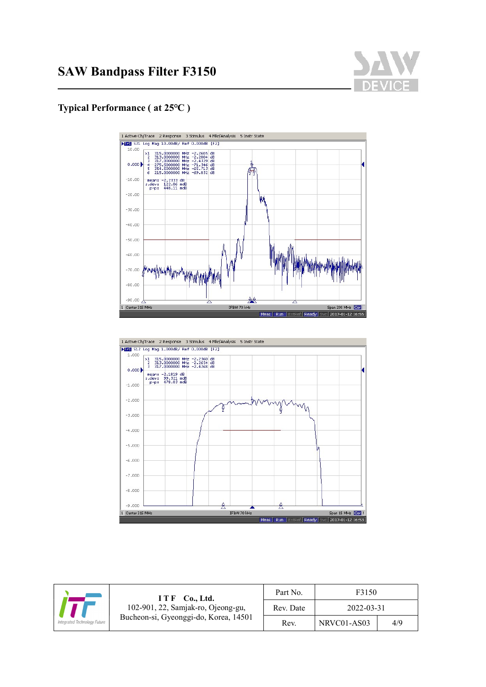

### Typical Performance ( at 25℃ )

 $\overline{a}$ 





| $ITF$ Co., Ltd.<br>102-901, 22, Samjak-ro, Ojeong-gu,<br>Bucheon-si, Gyeonggi-do, Korea, 14501<br>Integrated Technology Future | Part No.  | F3150       |     |
|--------------------------------------------------------------------------------------------------------------------------------|-----------|-------------|-----|
|                                                                                                                                | Rev. Date | 2022-03-31  |     |
|                                                                                                                                | Rev.      | NRVC01-AS03 | 4/9 |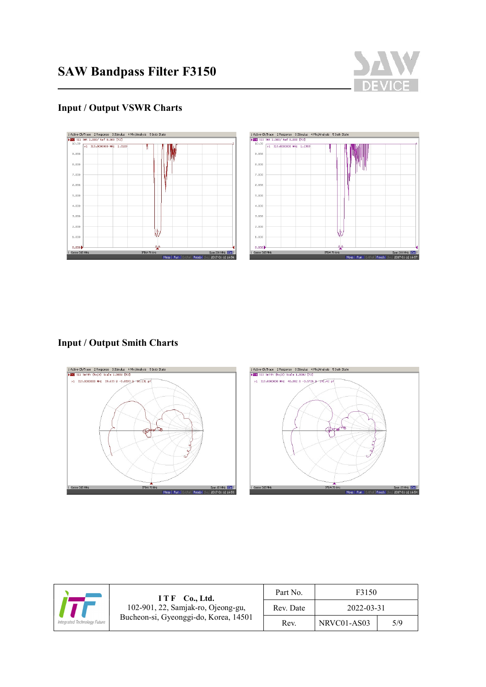

# Input / Output VSWR Charts

 $\overline{a}$ 





# Input / Output Smith Charts



| I T F<br>Co., Ltd.<br>102-901, 22, Samjak-ro, Ojeong-gu,<br>Bucheon-si, Gyeonggi-do, Korea, 14501<br>Integrated Technology Future | Part No. | F3150     |             |     |
|-----------------------------------------------------------------------------------------------------------------------------------|----------|-----------|-------------|-----|
|                                                                                                                                   |          | Rev. Date | 2022-03-31  |     |
|                                                                                                                                   |          | Rev.      | NRVC01-AS03 | 5/9 |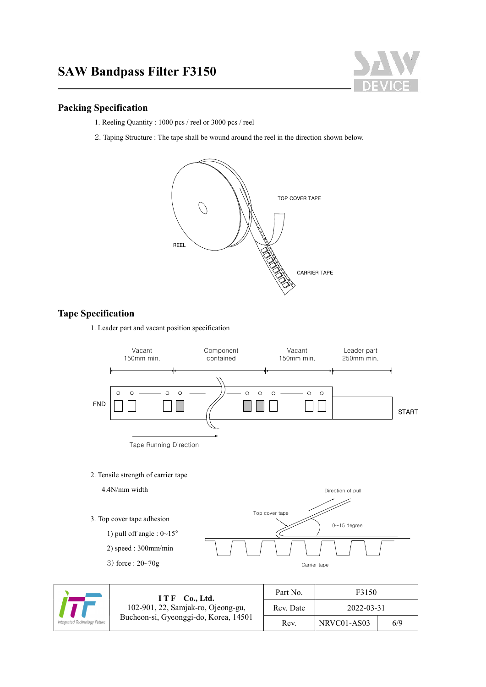# SAW Bandpass Filter F3150



#### Packing Specification

 $\overline{a}$ 

- 1. Reeling Quantity : 1000 pcs / reel or 3000 pcs / reel
- 2. Taping Structure : The tape shall be wound around the reel in the direction shown below.



#### Tape Specification

1. Leader part and vacant position specification



2. Tensile strength of carrier tape



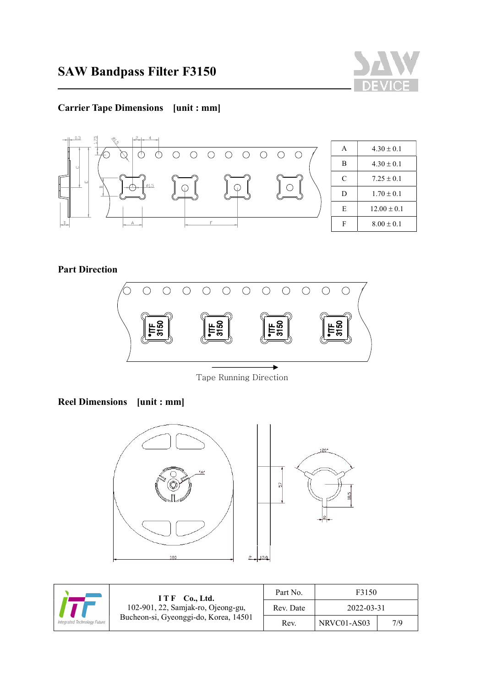

# Carrier Tape Dimensions [unit : mm]



| A | $4.30 \pm 0.1$  |
|---|-----------------|
| B | $4.30 \pm 0.1$  |
| C | $7.25 \pm 0.1$  |
| D | $1.70 \pm 0.1$  |
| E | $12.00 \pm 0.1$ |
|   | $8.00 \pm 0.1$  |

Part Direction

 $\overline{a}$ 



Tape Running Direction

Reel Dimensions [unit : mm]





| I T F<br><b>Co., Ltd.</b><br>102-901, 22, Samjak-ro, Ojeong-gu,<br>Bucheon-si, Gyeonggi-do, Korea, 14501<br>Integrated Technology Future | Part No.  | F3150       |     |
|------------------------------------------------------------------------------------------------------------------------------------------|-----------|-------------|-----|
|                                                                                                                                          | Rev. Date | 2022-03-31  |     |
|                                                                                                                                          | Rev.      | NRVC01-AS03 | 7/9 |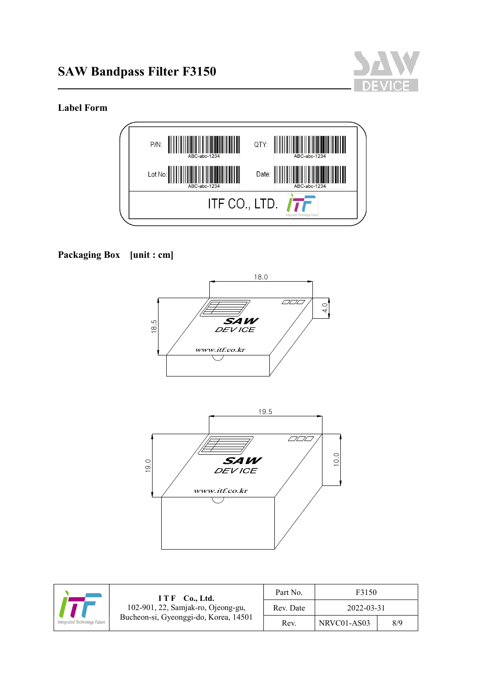



# Label Form

 $\overline{a}$ 



# Packaging Box [unit : cm]





| ITF Co., Ltd.<br>102-901, 22, Samjak-ro, Ojeong-gu,<br>Bucheon-si, Gyeonggi-do, Korea, 14501<br>Integrated Technology Future | Part No.  | F3150       |     |
|------------------------------------------------------------------------------------------------------------------------------|-----------|-------------|-----|
|                                                                                                                              | Rev. Date | 2022-03-31  |     |
|                                                                                                                              | Rev.      | NRVC01-AS03 | 8/9 |